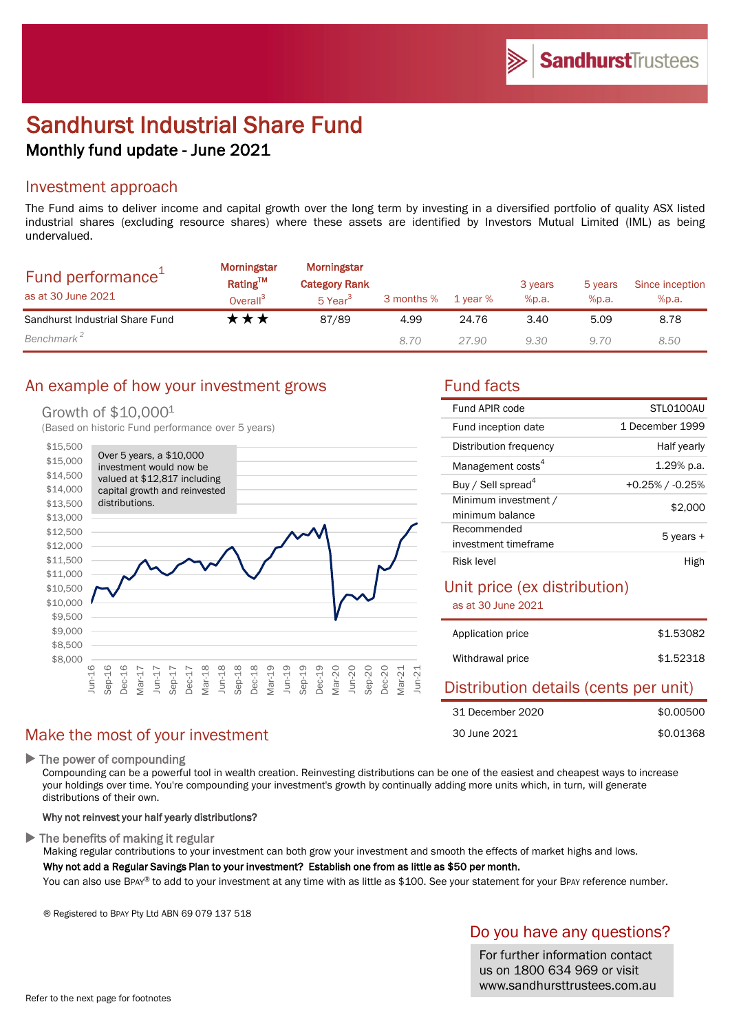# Sandhurst Industrial Share Fund Monthly fund update - June 2021

#### Investment approach

The Fund aims to deliver income and capital growth over the long term by investing in a diversified portfolio of quality ASX listed industrial shares (excluding resource shares) where these assets are identified by Investors Mutual Limited (IML) as being undervalued.

| Fund performance <sup>+</sup><br>as at 30 June 2021 | Morningstar<br>Rating™<br>Overall <sup>3</sup> | Morningstar<br><b>Category Rank</b><br>5 Year <sup>3</sup> | 3 months % | 1 vear % | 3 years<br>%p.a. | 5 years<br>%p.a. | Since inception<br>%p.a. |
|-----------------------------------------------------|------------------------------------------------|------------------------------------------------------------|------------|----------|------------------|------------------|--------------------------|
| Sandhurst Industrial Share Fund                     | k★★                                            | 87/89                                                      | 4.99       | 24.76    | 3.40             | 5.09             | 8.78                     |
| Benchmark <sup>2</sup>                              |                                                |                                                            | 8.70       | 27.90    | 9.30             | 9.70             | 8.50                     |

## An example of how your investment grows Tund facts

#### Growth of \$10,0001

(Based on historic Fund performance over 5 years)



## Make the most of your investment

 $\blacktriangleright$  The power of compounding

Compounding can be a powerful tool in wealth creation. Reinvesting distributions can be one of the easiest and cheapest ways to increase your holdings over time. You're compounding your investment's growth by continually adding more units which, in turn, will generate distributions of their own.

#### Why not reinvest your half yearly distributions?

 $\blacktriangleright$  The benefits of making it regular

Making regular contributions to your investment can both grow your investment and smooth the effects of market highs and lows. Why not add a Regular Savings Plan to your investment? Establish one from as little as \$50 per month.

You can also use BPAY® to add to your investment at any time with as little as \$100. See your statement for your BPAY reference number.

® Registered to BPAY Pty Ltd ABN 69 079 137 518

## Do you have any questions?

For further information contact us on 1800 634 969 or visit www.sandhursttrustees.com.au

| Fund APIR code                 | STI 0100AU         |  |
|--------------------------------|--------------------|--|
| Fund inception date            | 1 December 1999    |  |
| Distribution frequency         | Half yearly        |  |
| Management costs <sup>4</sup>  | $1.29%$ p.a.       |  |
| Buy / Sell spread <sup>4</sup> | $+0.25\%$ / -0.25% |  |
| Minimum investment /           | \$2,000            |  |
| minimum balance                |                    |  |
| Recommended                    | 5 years +          |  |
| investment timeframe           |                    |  |
| Risk level                     | Higr               |  |

## Unit price (ex distribution)

as at 30 June 2021

| Application price                                                        | \$1,53082 |
|--------------------------------------------------------------------------|-----------|
| Withdrawal price                                                         | \$1.52318 |
| <b>Industrial Control of Control Markets and Control Control Control</b> |           |

#### Distribution details (cents per unit) \$0.00500 \$0.01368 31 December 2020 30 June 2021